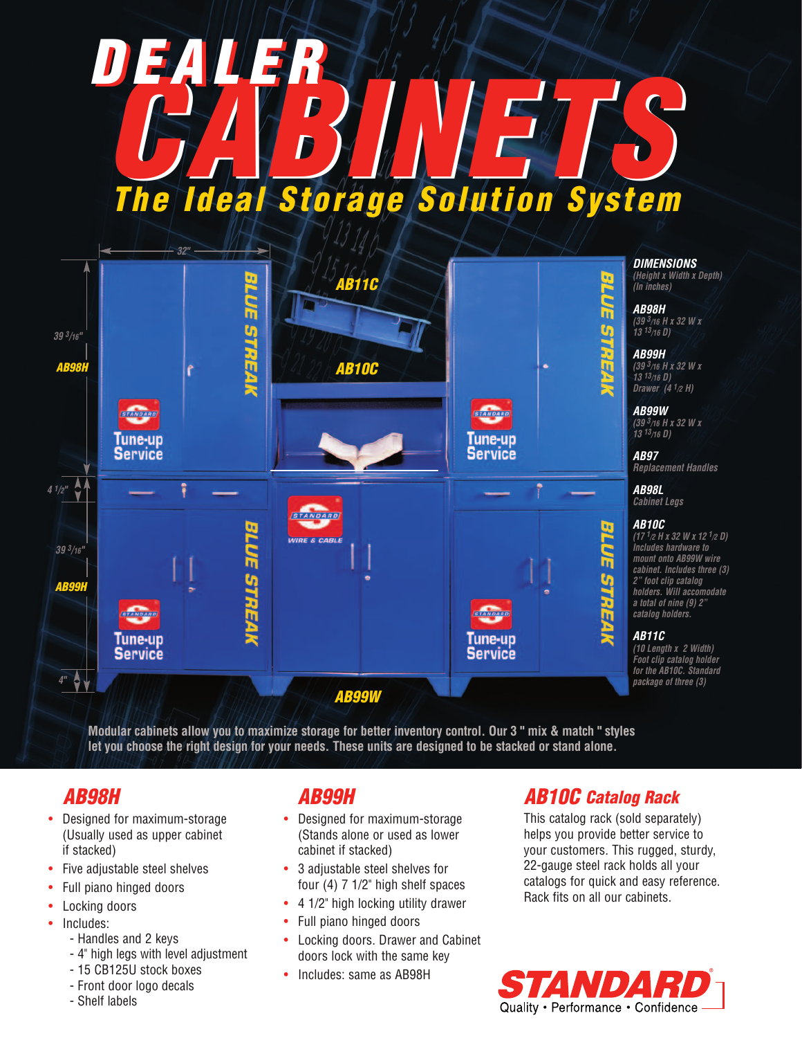# **CABINETS CABINETS DEALER The Ideal Storage Solution System**



**Modular cabinets allow you to maximize storage for better inventory control. Our 3 " mix & match " styles let you choose the right design for your needs. These units are designed to be stacked or stand alone.**

### **AB98H**

- Designed for maximum-storage (Usually used as upper cabinet if stacked)
- Five adjustable steel shelves
- Full piano hinged doors
- Locking doors
- Includes:
	- Handles and 2 keys
	- 4" high legs with level adjustment
	- 15 CB125U stock boxes
	- Front door logo decals
	- Shelf labels

### **AB99H**

- Designed for maximum-storage (Stands alone or used as lower cabinet if stacked)
- 3 adjustable steel shelves for four (4) 7 1/2" high shelf spaces
- 4 1/2" high locking utility drawer
- Full piano hinged doors
- Locking doors. Drawer and Cabinet doors lock with the same key
- Includes: same as AB98H

#### **AB10C Catalog Rack**

This catalog rack (sold separately) helps you provide better service to your customers. This rugged, sturdy, 22-gauge steel rack holds all your catalogs for quick and easy reference. Rack fits on all our cabinets.